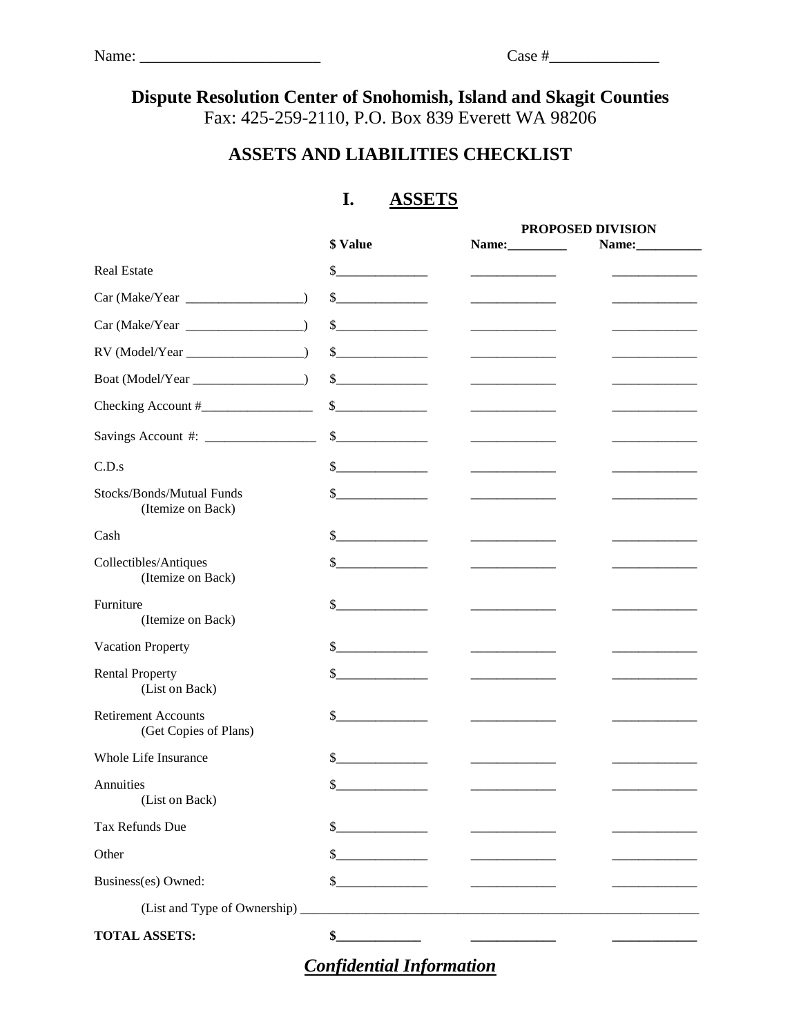# **Dispute Resolution Center of Snohomish, Island and Skagit Counties** Fax: 425-259-2110, P.O. Box 839 Everett WA 98206

# **ASSETS AND LIABILITIES CHECKLIST**

### **I. ASSETS**

|                                                     |                                                                                                                                                                                                                                                                                                                                                                              | PROPOSED DIVISION                                  |  |
|-----------------------------------------------------|------------------------------------------------------------------------------------------------------------------------------------------------------------------------------------------------------------------------------------------------------------------------------------------------------------------------------------------------------------------------------|----------------------------------------------------|--|
|                                                     | \$ Value                                                                                                                                                                                                                                                                                                                                                                     | Name:                                              |  |
| Real Estate                                         | \$                                                                                                                                                                                                                                                                                                                                                                           | <u> 1989 - Johann Barbara, martxa a shekara 19</u> |  |
|                                                     | $\frac{\text{S}}{\text{S}}$                                                                                                                                                                                                                                                                                                                                                  |                                                    |  |
| $Car (Make/Year \_$                                 | $\begin{picture}(20,20) \put(0,0){\line(1,0){100}} \put(15,0){\line(1,0){100}} \put(15,0){\line(1,0){100}} \put(15,0){\line(1,0){100}} \put(15,0){\line(1,0){100}} \put(15,0){\line(1,0){100}} \put(15,0){\line(1,0){100}} \put(15,0){\line(1,0){100}} \put(15,0){\line(1,0){100}} \put(15,0){\line(1,0){100}} \put(15,0){\line(1,0){100}} \$                                |                                                    |  |
|                                                     | $\frac{\text{S}}{\text{S}}$                                                                                                                                                                                                                                                                                                                                                  |                                                    |  |
|                                                     | $\frac{\sqrt{2}}{2}$                                                                                                                                                                                                                                                                                                                                                         |                                                    |  |
|                                                     | $\frac{\sqrt{2}}{2}$                                                                                                                                                                                                                                                                                                                                                         |                                                    |  |
|                                                     | $\begin{picture}(20,20) \put(0,0){\line(1,0){100}} \put(15,0){\line(1,0){100}} \put(15,0){\line(1,0){100}} \put(15,0){\line(1,0){100}} \put(15,0){\line(1,0){100}} \put(15,0){\line(1,0){100}} \put(15,0){\line(1,0){100}} \put(15,0){\line(1,0){100}} \put(15,0){\line(1,0){100}} \put(15,0){\line(1,0){100}} \put(15,0){\line(1,0){100}} \$                                | the company of the company of the                  |  |
| C.D.s                                               | $\frac{1}{2}$                                                                                                                                                                                                                                                                                                                                                                |                                                    |  |
| Stocks/Bonds/Mutual Funds<br>(Itemize on Back)      | $\frac{\text{S}}{\text{S}}$                                                                                                                                                                                                                                                                                                                                                  |                                                    |  |
| Cash                                                | $\frac{\S_{\frac{1}{2}}}{\S_{\frac{1}{2}}}{\S_{\frac{1}{2}}}{\S_{\frac{1}{2}}}{\S_{\frac{1}{2}}}{\S_{\frac{1}{2}}}{\S_{\frac{1}{2}}}{\S_{\frac{1}{2}}}{\S_{\frac{1}{2}}}{\S_{\frac{1}{2}}}{\S_{\frac{1}{2}}}{\S_{\frac{1}{2}}}{\S_{\frac{1}{2}}}{\S_{\frac{1}{2}}}{\S_{\frac{1}{2}}}{\S_{\frac{1}{2}}}{\S_{\frac{1}{2}}}{\S_{\frac{1}{2}}}{\S_{\frac{1}{2}}}{\S_{\frac{1}{2$ | the control of the control of the control of       |  |
| Collectibles/Antiques<br>(Itemize on Back)          | \$                                                                                                                                                                                                                                                                                                                                                                           | the control of the control of the control of       |  |
| Furniture<br>(Itemize on Back)                      | \$<br><u> 1980 - Alexandr A</u>                                                                                                                                                                                                                                                                                                                                              |                                                    |  |
| <b>Vacation Property</b>                            | \$                                                                                                                                                                                                                                                                                                                                                                           |                                                    |  |
| <b>Rental Property</b><br>(List on Back)            | $\mathbb{S}^-$                                                                                                                                                                                                                                                                                                                                                               |                                                    |  |
| <b>Retirement Accounts</b><br>(Get Copies of Plans) | \$                                                                                                                                                                                                                                                                                                                                                                           | the control of the control of the                  |  |
| Whole Life Insurance                                | \$                                                                                                                                                                                                                                                                                                                                                                           | and the company of the company of                  |  |
| Annuities<br>(List on Back)                         | \$                                                                                                                                                                                                                                                                                                                                                                           |                                                    |  |
| Tax Refunds Due                                     | \$                                                                                                                                                                                                                                                                                                                                                                           |                                                    |  |
| Other                                               | and the state of the state                                                                                                                                                                                                                                                                                                                                                   |                                                    |  |
| Business(es) Owned:                                 | \$                                                                                                                                                                                                                                                                                                                                                                           |                                                    |  |
|                                                     |                                                                                                                                                                                                                                                                                                                                                                              |                                                    |  |
| <b>TOTAL ASSETS:</b>                                |                                                                                                                                                                                                                                                                                                                                                                              |                                                    |  |

*Confidential Information*